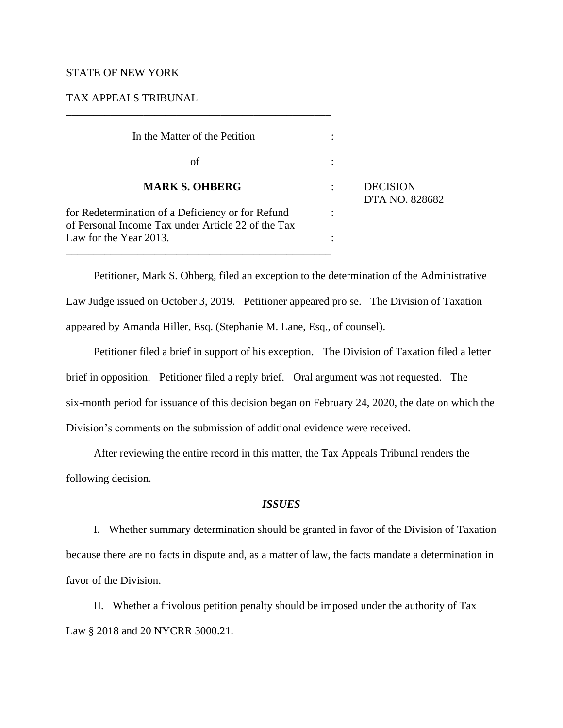## STATE OF NEW YORK

# TAX APPEALS TRIBUNAL

\_\_\_\_\_\_\_\_\_\_\_\_\_\_\_\_\_\_\_\_\_\_\_\_\_\_\_\_\_\_\_\_\_\_\_\_\_\_\_\_\_\_\_\_\_\_\_\_

| In the Matter of the Petition                                                                           |  |                                   |
|---------------------------------------------------------------------------------------------------------|--|-----------------------------------|
| οf                                                                                                      |  | <b>DECISION</b><br>DTA NO. 828682 |
| <b>MARK S. OHBERG</b>                                                                                   |  |                                   |
| for Redetermination of a Deficiency or for Refund<br>of Personal Income Tax under Article 22 of the Tax |  |                                   |
| Law for the Year 2013.                                                                                  |  |                                   |

Petitioner, Mark S. Ohberg, filed an exception to the determination of the Administrative Law Judge issued on October 3, 2019. Petitioner appeared pro se. The Division of Taxation appeared by Amanda Hiller, Esq. (Stephanie M. Lane, Esq., of counsel).

Petitioner filed a brief in support of his exception. The Division of Taxation filed a letter brief in opposition. Petitioner filed a reply brief. Oral argument was not requested. The six-month period for issuance of this decision began on February 24, 2020, the date on which the Division's comments on the submission of additional evidence were received.

After reviewing the entire record in this matter, the Tax Appeals Tribunal renders the following decision.

## *ISSUES*

I. Whether summary determination should be granted in favor of the Division of Taxation because there are no facts in dispute and, as a matter of law, the facts mandate a determination in favor of the Division.

II. Whether a frivolous petition penalty should be imposed under the authority of Tax Law § 2018 and 20 NYCRR 3000.21.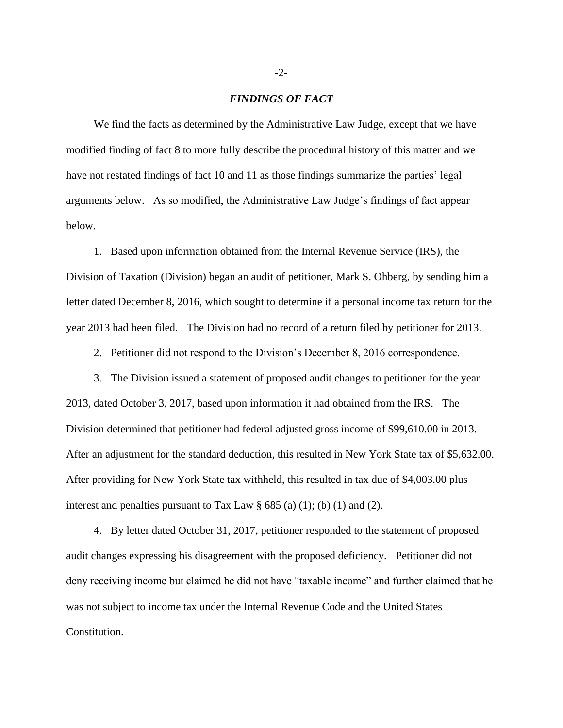#### *FINDINGS OF FACT*

We find the facts as determined by the Administrative Law Judge, except that we have modified finding of fact 8 to more fully describe the procedural history of this matter and we have not restated findings of fact 10 and 11 as those findings summarize the parties' legal arguments below. As so modified, the Administrative Law Judge's findings of fact appear below.

1. Based upon information obtained from the Internal Revenue Service (IRS), the Division of Taxation (Division) began an audit of petitioner, Mark S. Ohberg, by sending him a letter dated December 8, 2016, which sought to determine if a personal income tax return for the year 2013 had been filed. The Division had no record of a return filed by petitioner for 2013.

2. Petitioner did not respond to the Division's December 8, 2016 correspondence.

3. The Division issued a statement of proposed audit changes to petitioner for the year 2013, dated October 3, 2017, based upon information it had obtained from the IRS. The Division determined that petitioner had federal adjusted gross income of \$99,610.00 in 2013. After an adjustment for the standard deduction, this resulted in New York State tax of \$5,632.00. After providing for New York State tax withheld, this resulted in tax due of \$4,003.00 plus interest and penalties pursuant to Tax Law  $\S 685$  (a) (1); (b) (1) and (2).

4. By letter dated October 31, 2017, petitioner responded to the statement of proposed audit changes expressing his disagreement with the proposed deficiency. Petitioner did not deny receiving income but claimed he did not have "taxable income" and further claimed that he was not subject to income tax under the Internal Revenue Code and the United States Constitution.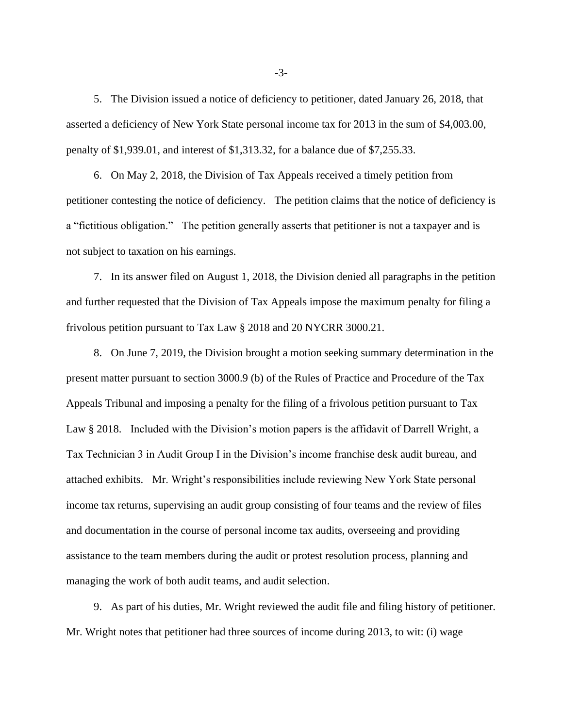5. The Division issued a notice of deficiency to petitioner, dated January 26, 2018, that asserted a deficiency of New York State personal income tax for 2013 in the sum of \$4,003.00, penalty of \$1,939.01, and interest of \$1,313.32, for a balance due of \$7,255.33.

6. On May 2, 2018, the Division of Tax Appeals received a timely petition from petitioner contesting the notice of deficiency. The petition claims that the notice of deficiency is a "fictitious obligation." The petition generally asserts that petitioner is not a taxpayer and is not subject to taxation on his earnings.

7. In its answer filed on August 1, 2018, the Division denied all paragraphs in the petition and further requested that the Division of Tax Appeals impose the maximum penalty for filing a frivolous petition pursuant to Tax Law § 2018 and 20 NYCRR 3000.21.

8. On June 7, 2019, the Division brought a motion seeking summary determination in the present matter pursuant to section 3000.9 (b) of the Rules of Practice and Procedure of the Tax Appeals Tribunal and imposing a penalty for the filing of a frivolous petition pursuant to Tax Law § 2018. Included with the Division's motion papers is the affidavit of Darrell Wright, a Tax Technician 3 in Audit Group I in the Division's income franchise desk audit bureau, and attached exhibits. Mr. Wright's responsibilities include reviewing New York State personal income tax returns, supervising an audit group consisting of four teams and the review of files and documentation in the course of personal income tax audits, overseeing and providing assistance to the team members during the audit or protest resolution process, planning and managing the work of both audit teams, and audit selection.

9. As part of his duties, Mr. Wright reviewed the audit file and filing history of petitioner. Mr. Wright notes that petitioner had three sources of income during 2013, to wit: (i) wage

-3-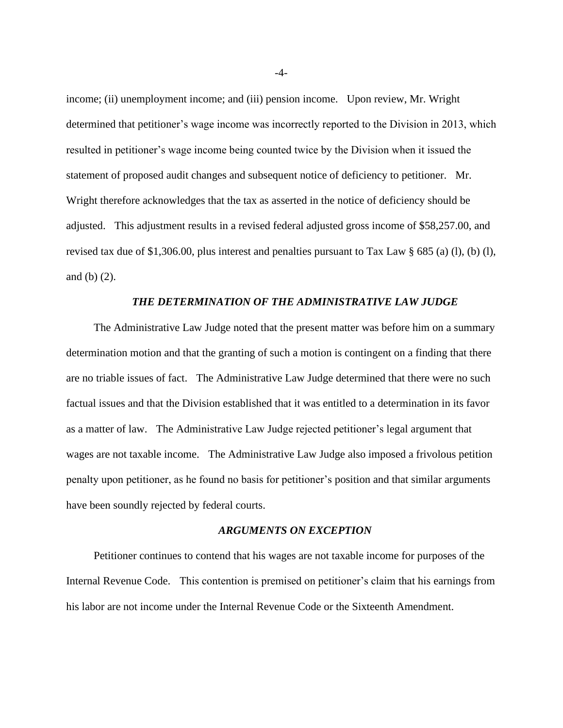income; (ii) unemployment income; and (iii) pension income. Upon review, Mr. Wright determined that petitioner's wage income was incorrectly reported to the Division in 2013, which resulted in petitioner's wage income being counted twice by the Division when it issued the statement of proposed audit changes and subsequent notice of deficiency to petitioner. Mr. Wright therefore acknowledges that the tax as asserted in the notice of deficiency should be adjusted. This adjustment results in a revised federal adjusted gross income of \$58,257.00, and revised tax due of \$1,306.00, plus interest and penalties pursuant to Tax Law § 685 (a) (l), (b) (l), and (b) (2).

#### *THE DETERMINATION OF THE ADMINISTRATIVE LAW JUDGE*

The Administrative Law Judge noted that the present matter was before him on a summary determination motion and that the granting of such a motion is contingent on a finding that there are no triable issues of fact. The Administrative Law Judge determined that there were no such factual issues and that the Division established that it was entitled to a determination in its favor as a matter of law. The Administrative Law Judge rejected petitioner's legal argument that wages are not taxable income. The Administrative Law Judge also imposed a frivolous petition penalty upon petitioner, as he found no basis for petitioner's position and that similar arguments have been soundly rejected by federal courts.

## *ARGUMENTS ON EXCEPTION*

Petitioner continues to contend that his wages are not taxable income for purposes of the Internal Revenue Code. This contention is premised on petitioner's claim that his earnings from his labor are not income under the Internal Revenue Code or the Sixteenth Amendment.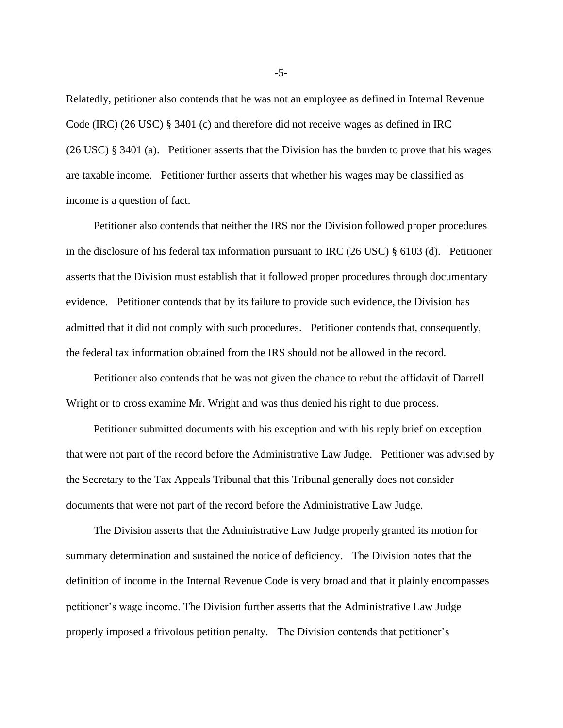Relatedly, petitioner also contends that he was not an employee as defined in Internal Revenue Code (IRC) (26 USC) § 3401 (c) and therefore did not receive wages as defined in IRC (26 USC) § 3401 (a). Petitioner asserts that the Division has the burden to prove that his wages are taxable income. Petitioner further asserts that whether his wages may be classified as income is a question of fact.

Petitioner also contends that neither the IRS nor the Division followed proper procedures in the disclosure of his federal tax information pursuant to IRC (26 USC) § 6103 (d). Petitioner asserts that the Division must establish that it followed proper procedures through documentary evidence. Petitioner contends that by its failure to provide such evidence, the Division has admitted that it did not comply with such procedures. Petitioner contends that, consequently, the federal tax information obtained from the IRS should not be allowed in the record.

Petitioner also contends that he was not given the chance to rebut the affidavit of Darrell Wright or to cross examine Mr. Wright and was thus denied his right to due process.

Petitioner submitted documents with his exception and with his reply brief on exception that were not part of the record before the Administrative Law Judge. Petitioner was advised by the Secretary to the Tax Appeals Tribunal that this Tribunal generally does not consider documents that were not part of the record before the Administrative Law Judge.

The Division asserts that the Administrative Law Judge properly granted its motion for summary determination and sustained the notice of deficiency. The Division notes that the definition of income in the Internal Revenue Code is very broad and that it plainly encompasses petitioner's wage income. The Division further asserts that the Administrative Law Judge properly imposed a frivolous petition penalty. The Division contends that petitioner's

-5-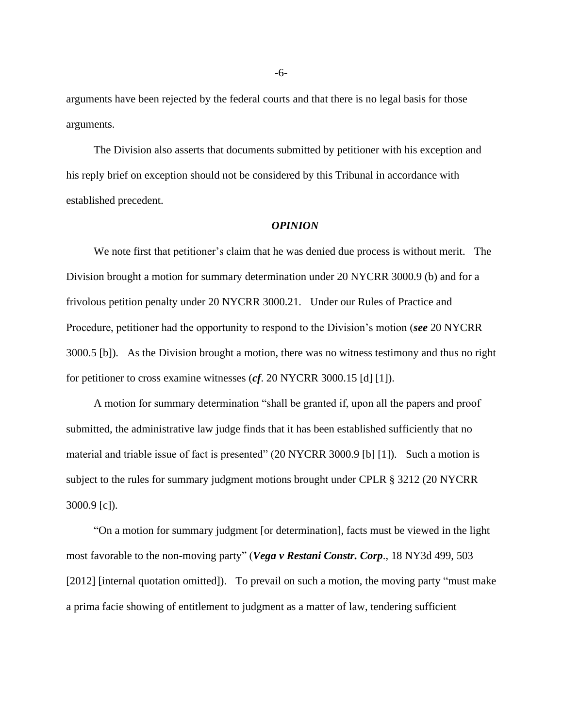arguments have been rejected by the federal courts and that there is no legal basis for those arguments.

The Division also asserts that documents submitted by petitioner with his exception and his reply brief on exception should not be considered by this Tribunal in accordance with established precedent.

#### *OPINION*

We note first that petitioner's claim that he was denied due process is without merit. The Division brought a motion for summary determination under 20 NYCRR 3000.9 (b) and for a frivolous petition penalty under 20 NYCRR 3000.21. Under our Rules of Practice and Procedure, petitioner had the opportunity to respond to the Division's motion (*see* 20 NYCRR 3000.5 [b]). As the Division brought a motion, there was no witness testimony and thus no right for petitioner to cross examine witnesses (*cf*. 20 NYCRR 3000.15 [d] [1]).

A motion for summary determination "shall be granted if, upon all the papers and proof submitted, the administrative law judge finds that it has been established sufficiently that no material and triable issue of fact is presented" (20 NYCRR 3000.9 [b] [1]). Such a motion is subject to the rules for summary judgment motions brought under CPLR § 3212 (20 NYCRR 3000.9 [c]).

"On a motion for summary judgment [or determination], facts must be viewed in the light most favorable to the non-moving party" (*Vega v Restani Constr. Corp*., 18 NY3d 499, 503 [2012] [internal quotation omitted]). To prevail on such a motion, the moving party "must make a prima facie showing of entitlement to judgment as a matter of law, tendering sufficient

-6-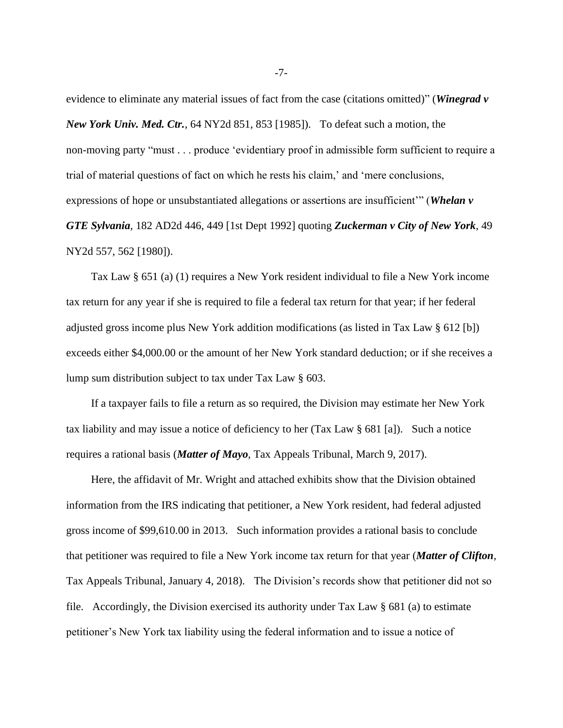evidence to eliminate any material issues of fact from the case (citations omitted)" (*Winegrad v New York Univ. Med. Ctr.*, 64 NY2d 851, 853 [1985]). To defeat such a motion, the non-moving party "must . . . produce 'evidentiary proof in admissible form sufficient to require a trial of material questions of fact on which he rests his claim,' and 'mere conclusions, expressions of hope or unsubstantiated allegations or assertions are insufficient'" (*Whelan v GTE Sylvania*, 182 AD2d 446, 449 [1st Dept 1992] quoting *Zuckerman v City of New York*, 49 NY2d 557, 562 [1980]).

Tax Law § 651 (a) (1) requires a New York resident individual to file a New York income tax return for any year if she is required to file a federal tax return for that year; if her federal adjusted gross income plus New York addition modifications (as listed in Tax Law § 612 [b]) exceeds either \$4,000.00 or the amount of her New York standard deduction; or if she receives a lump sum distribution subject to tax under Tax Law § 603.

If a taxpayer fails to file a return as so required, the Division may estimate her New York tax liability and may issue a notice of deficiency to her (Tax Law § 681 [a]). Such a notice requires a rational basis (*Matter of Mayo*, Tax Appeals Tribunal, March 9, 2017).

Here, the affidavit of Mr. Wright and attached exhibits show that the Division obtained information from the IRS indicating that petitioner, a New York resident, had federal adjusted gross income of \$99,610.00 in 2013. Such information provides a rational basis to conclude that petitioner was required to file a New York income tax return for that year (*Matter of Clifton*, Tax Appeals Tribunal, January 4, 2018). The Division's records show that petitioner did not so file. Accordingly, the Division exercised its authority under Tax Law § 681 (a) to estimate petitioner's New York tax liability using the federal information and to issue a notice of

-7-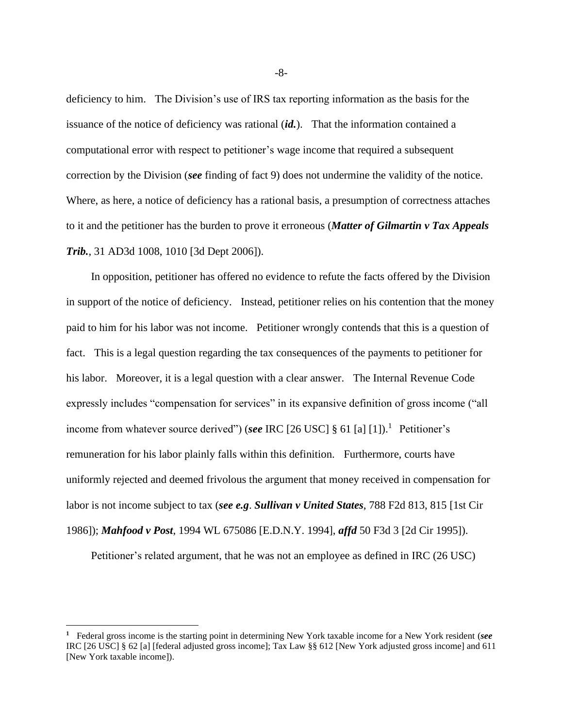deficiency to him. The Division's use of IRS tax reporting information as the basis for the issuance of the notice of deficiency was rational (*id.*). That the information contained a computational error with respect to petitioner's wage income that required a subsequent correction by the Division (*see* finding of fact 9) does not undermine the validity of the notice. Where, as here, a notice of deficiency has a rational basis, a presumption of correctness attaches to it and the petitioner has the burden to prove it erroneous (*Matter of Gilmartin v Tax Appeals Trib.*, 31 AD3d 1008, 1010 [3d Dept 2006]).

In opposition, petitioner has offered no evidence to refute the facts offered by the Division in support of the notice of deficiency. Instead, petitioner relies on his contention that the money paid to him for his labor was not income. Petitioner wrongly contends that this is a question of fact. This is a legal question regarding the tax consequences of the payments to petitioner for his labor. Moreover, it is a legal question with a clear answer. The Internal Revenue Code expressly includes "compensation for services" in its expansive definition of gross income ("all income from whatever source derived") (*see* IRC [26 USC] § 61 [a]  $[1]$ ).<sup>1</sup> Petitioner's remuneration for his labor plainly falls within this definition. Furthermore, courts have uniformly rejected and deemed frivolous the argument that money received in compensation for labor is not income subject to tax (*see e.g*. *Sullivan v United States*, 788 F2d 813, 815 [1st Cir 1986]); *Mahfood v Post*, 1994 WL 675086 [E.D.N.Y. 1994], *affd* 50 F3d 3 [2d Cir 1995]).

Petitioner's related argument, that he was not an employee as defined in IRC (26 USC)

-8-

**<sup>1</sup>** Federal gross income is the starting point in determining New York taxable income for a New York resident (*see*  IRC [26 USC] § 62 [a] [federal adjusted gross income]; Tax Law §§ 612 [New York adjusted gross income] and 611 [New York taxable income]).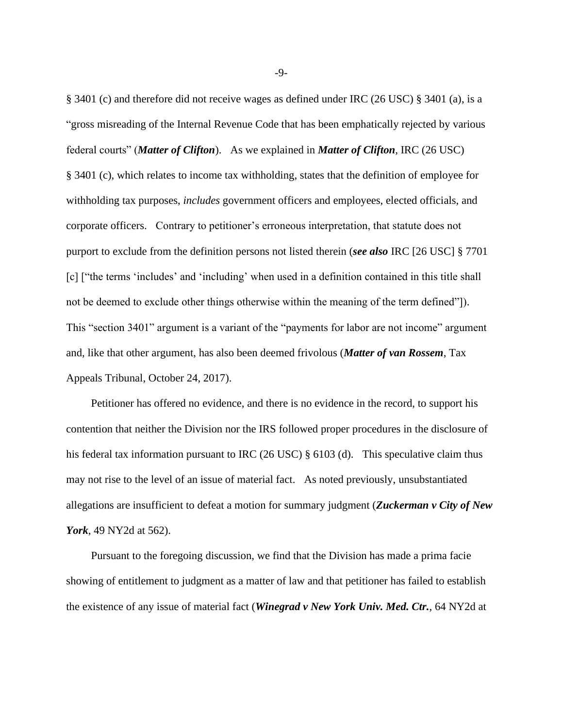§ 3401 (c) and therefore did not receive wages as defined under IRC (26 USC) § 3401 (a), is a "gross misreading of the Internal Revenue Code that has been emphatically rejected by various federal courts" (*Matter of Clifton*). As we explained in *Matter of Clifton*, IRC (26 USC) § 3401 (c), which relates to income tax withholding, states that the definition of employee for withholding tax purposes, *includes* government officers and employees, elected officials, and corporate officers. Contrary to petitioner's erroneous interpretation, that statute does not purport to exclude from the definition persons not listed therein (*see also* IRC [26 USC] § 7701 [c] ["the terms 'includes' and 'including' when used in a definition contained in this title shall not be deemed to exclude other things otherwise within the meaning of the term defined"]). This "section 3401" argument is a variant of the "payments for labor are not income" argument and, like that other argument, has also been deemed frivolous (*Matter of van Rossem*, Tax Appeals Tribunal, October 24, 2017).

Petitioner has offered no evidence, and there is no evidence in the record, to support his contention that neither the Division nor the IRS followed proper procedures in the disclosure of his federal tax information pursuant to IRC (26 USC) § 6103 (d). This speculative claim thus may not rise to the level of an issue of material fact. As noted previously, unsubstantiated allegations are insufficient to defeat a motion for summary judgment (*Zuckerman v City of New York*, 49 NY2d at 562).

Pursuant to the foregoing discussion, we find that the Division has made a prima facie showing of entitlement to judgment as a matter of law and that petitioner has failed to establish the existence of any issue of material fact (*Winegrad v New York Univ. Med. Ctr.*, 64 NY2d at

-9-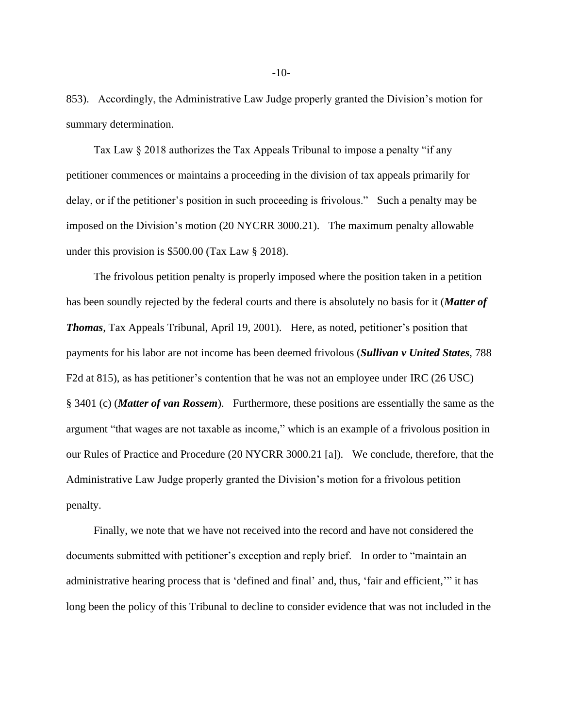853). Accordingly, the Administrative Law Judge properly granted the Division's motion for summary determination.

Tax Law § 2018 authorizes the Tax Appeals Tribunal to impose a penalty "if any petitioner commences or maintains a proceeding in the division of tax appeals primarily for delay, or if the petitioner's position in such proceeding is frivolous." Such a penalty may be imposed on the Division's motion (20 NYCRR 3000.21). The maximum penalty allowable under this provision is \$500.00 (Tax Law § 2018).

The frivolous petition penalty is properly imposed where the position taken in a petition has been soundly rejected by the federal courts and there is absolutely no basis for it (*Matter of Thomas*, Tax Appeals Tribunal, April 19, 2001). Here, as noted, petitioner's position that payments for his labor are not income has been deemed frivolous (*Sullivan v United States*, 788 F2d at 815), as has petitioner's contention that he was not an employee under IRC (26 USC) § 3401 (c) (*Matter of van Rossem*). Furthermore, these positions are essentially the same as the argument "that wages are not taxable as income," which is an example of a frivolous position in our Rules of Practice and Procedure (20 NYCRR 3000.21 [a]). We conclude, therefore, that the Administrative Law Judge properly granted the Division's motion for a frivolous petition penalty.

Finally, we note that we have not received into the record and have not considered the documents submitted with petitioner's exception and reply brief. In order to "maintain an administrative hearing process that is 'defined and final' and, thus, 'fair and efficient,'" it has long been the policy of this Tribunal to decline to consider evidence that was not included in the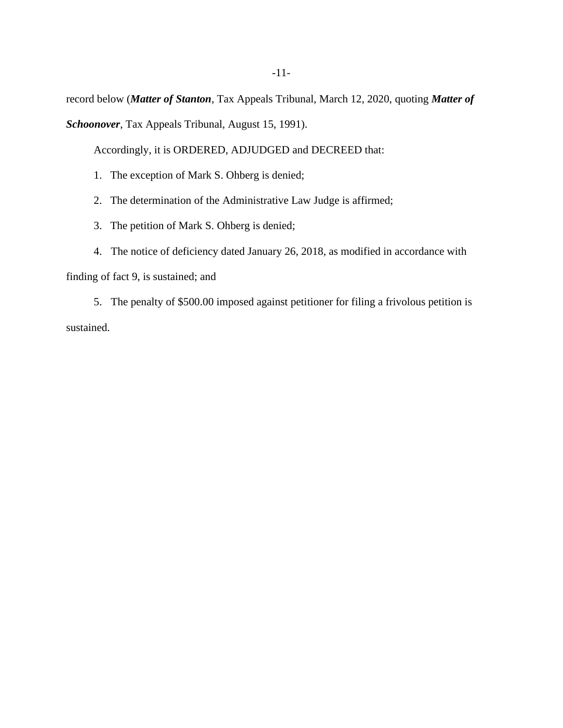record below (*Matter of Stanton*, Tax Appeals Tribunal, March 12, 2020, quoting *Matter of* 

*Schoonover*, Tax Appeals Tribunal, August 15, 1991).

Accordingly, it is ORDERED, ADJUDGED and DECREED that:

- 1. The exception of Mark S. Ohberg is denied;
- 2. The determination of the Administrative Law Judge is affirmed;
- 3. The petition of Mark S. Ohberg is denied;
- 4. The notice of deficiency dated January 26, 2018, as modified in accordance with

finding of fact 9, is sustained; and

5. The penalty of \$500.00 imposed against petitioner for filing a frivolous petition is sustained.